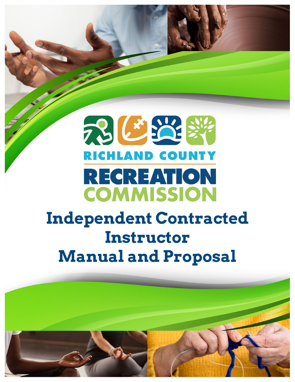# 73 C 22 34 **RICHLAND COUNTY** RECREATION **COMMISSION**

# **Independent Contracted Instructor Manual and Proposal**

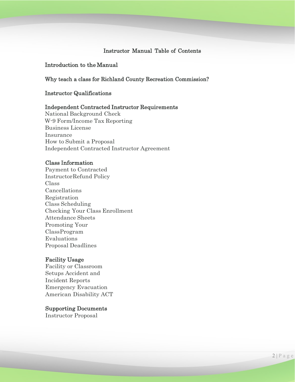# Instructor Manual Table of Contents

# Introduction to the Manual

#### Why teach a class for Richland County Recreation Commission?

#### Instructor Qualifications

#### Independent Contracted Instructor Requirements

National Background Check W-9 Form/Income Tax Reporting Business License Insurance How to Submit a Proposal Independent Contracted Instructor Agreement

#### Class Information

Payment to Contracted InstructorRefund Policy Class Cancellations Registration Class Scheduling Checking Your Class Enrollment Attendance Sheets Promoting Your ClassProgram Evaluations Proposal Deadlines

#### Facility Usage

Facility or Classroom Setups Accident and Incident Reports Emergency Evacuation American Disability ACT

#### Supporting Documents

Instructor Proposal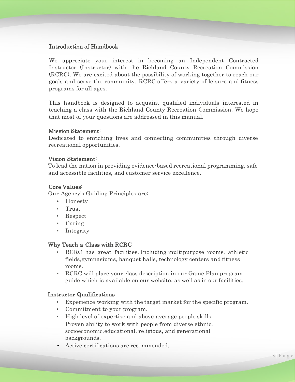# Introduction of Handbook

We appreciate your interest in becoming an Independent Contracted Instructor (Instructor) with the Richland County Recreation Commission (RCRC). We are excited about the possibility of working together to reach our goals and serve the community. RCRC offers a variety of leisure and fitness programs for all ages.

This handbook is designed to acquaint qualified individuals interested in teaching a class with the Richland County Recreation Commission. We hope that most of your questions are addressed in this manual.

# Mission Statement:

Dedicated to enriching lives and connecting communities through diverse recreational opportunities.

#### Vision Statement:

To lead the nation in providing evidence-based recreational programming, safe and accessible facilities, and customer service excellence.

# Core Values:

Our Agency's Guiding Principles are:

- Honesty
- Trust
- Respect
- Caring
- Integrity

# Why Teach a Class with RCRC

- RCRC has great facilities. Including multipurpose rooms, athletic fields,gymnasiums, banquet halls, technology centers and fitness rooms.
- RCRC will place your class description in our Game Plan program guide which is available on our website, as well as in our facilities.

#### Instructor Qualifications

- Experience working with the target market for the specific program.
- Commitment to your program.
- High level of expertise and above average people skills. Proven ability to work with people from diverse ethnic, socioeconomic,educational, religious, and generational backgrounds.
- Active certifications are recommended.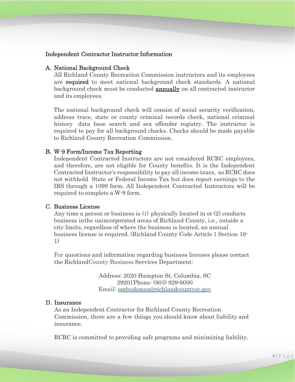# Independent Contractor Instructor Information

#### A. National Background Check

All Richland County Recreation Commission instructors and its employees are required to meet national background check standards. A national background check must be conducted **annually** on all contracted instructor and its employees.

The national background check will consist of social security verification, address trace, state or county criminal records check, national criminal history data base search and sex offender registry. The instructor is required to pay for all background checks. Checks should be made payable to Richland County Recreation Commission.

#### B. W-9 Form/Income Tax Reporting

Independent Contracted Instructors are not considered RCRC employees, and therefore, are not eligible for County benefits. It is the Independent Contracted Instructor's responsibility to pay all income taxes, as RCRC does not withhold State or Federal Income Tax but does report earnings to the IRS through a 1099 form. All Independent Contracted Instructors will be required to complete a W-9 form.

#### C. Business License

Any time a person or business is (1) physically located in or (2) conducts business inthe unincorporated areas of Richland County, i.e., outside a city limits, regardless of where the business is located, an annual business license is required. (Richland County Code Article 1 Section 16- 1)

For questions and information regarding business licenses please contact the RichlandCounty Business Services Department:

> Address: 2020 Hampton St, Columbia, SC 29201Phone: (803) 929-6000 Email: [ombudsman@richlandcountysc.gov](mailto:ombudsman@richlandcountysc.gov)

#### D. Insurance

As an Independent Contractor for Richland County Recreation Commission, there are a few things you should know about liability and insurance.

RCRC is committed to providing safe programs and minimizing liability.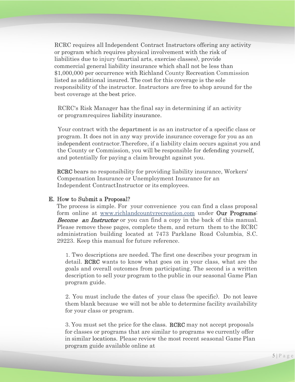RCRC requires all Independent Contract Instructors offering any activity or program which requires physical involvement with the risk of liabilities due to injury (martial arts, exercise classes), provide commercial general liability insurance which shall not be less than \$1,000,000 per occurrence with Richland County Recreation Commission listed as additional insured. The cost for this coverage is the sole responsibility of the instructor. Instructors are free to shop around for the best coverage at the best price.

RCRC's Risk Manager has the final say in determining if an activity or programrequires liability insurance.

Your contract with the department is as an instructor of a specific class or program. It does not in any way provide insurance coverage for you as an independent contractor.Therefore, if a liability claim occurs against you and the County or Commission, you will be responsible for defending yourself, and potentially for paying a claim brought against you.

RCRC bears no responsibility for providing liability insurance, Workers' Compensation Insurance or Unemployment Insurance for an Independent ContractInstructor or its employees.

#### E. How to Submit a Proposal?

The process is simple. For your convenience you can find a class proposal form online at [www.richlandcountyrecreation.com](http://www.richlandcountyrecreation.com/) under **Our Programs**: **Become an Instructor** or you can find a copy in the back of this manual. Please remove these pages, complete them, and return them to the RCRC administration building located at 7473 Parklane Road Columbia, S.C. 29223. Keep this manual for future reference.

1. Two descriptions are needed. The first one describes your program in detail. RCRC wants to know what goes on in your class, what are the goals and overall outcomes from participating. The second is a written description to sell your program to the public in our seasonal Game Plan program guide.

2. You must include the dates of your class (be specific). Do not leave them blank because we will not be able to determine facility availability for your class or program.

3. You must set the price for the class. RCRC may not accept proposals for classes or programs that are similar to programs we currently offer in similar locations. Please review the most recent seasonal Game Plan program guide available online at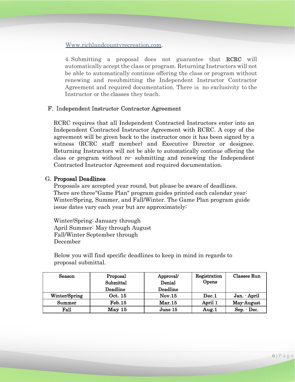Www.richlandcountyrecreation.com.

4. Submitting a proposal does not guarantee that RCRC will automatically accept the class or program. Returning Instructors will not be able to automatically continue offering the class or program without renewing and resubmitting the Independent Instructor Contractor Agreement and required documentation. There is no exclusivity to the Instructor or the classes they teach.

# F. Independent Instructor Contractor Agreement

RCRC requires that all Independent Contracted Instructors enter into an Independent Contracted Instructor Agreement with RCRC. A copy of the agreement will be given back to the instructor once it has been signed by a witness (RCRC staff member) and Executive Director or designee. Returning Instructors will not be able to automatically continue offering the class or program without re- submitting and renewing the Independent Contracted Instructor Agreement and required documentation.

# G. Proposal Deadlines

Proposals are accepted year round, but please be aware of deadlines. There are three"Game Plan" program guides printed each calendar year: Winter/Spring, Summer, and Fall/Winter. The Game Plan program guide issue dates vary each year but are approximately:

Winter/Spring: January through April Summer: May through August Fall/Winter September through December

Below you will find specific deadlines to keep in mind in regards to proposal submittal.

| Season        | Proposal      | Approval | Registration | Classes Run |
|---------------|---------------|----------|--------------|-------------|
|               | Submittal     | Denial   | Opens        |             |
|               | Deadline      | Deadline |              |             |
| Winter/Spring | Oct. 15       | Nov.15   | Dec.1        | Jan. April  |
| Summer        | <b>Feb.15</b> | Mar.15   | April 1      | May-August  |
| $_{\rm Fall}$ | May 15        | June 15  | Aug.1        | Sep. - Dec. |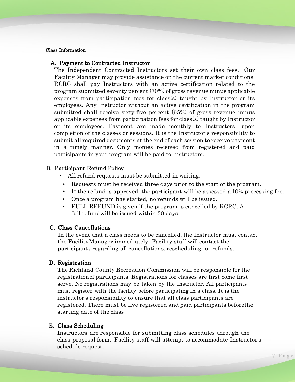#### Class Information

#### A. Payment to Contracted Instructor

The Independent Contracted Instructors set their own class fees. Our Facility Manager may provide assistance on the current market conditions. RCRC shall pay Instructors with an active certification related to the program submitted seventy percent (70%) of gross revenue minus applicable expenses from participation fees for class(s) taught by Instructor or its employees. Any Instructor without an active certification in the program submitted shall receive sixty-five percent (65%) of gross revenue minus applicable expenses from participation fees for class(s) taught by Instructor or its employees. Payment are made monthly to Instructors upon completion of the classes or sessions. It is the Instructor's responsibility to submit all required documents at the end of each session to receive payment in a timely manner. Only monies received from registered and paid participants in your program will be paid to Instructors.

#### B. Participant Refund Policy

- All refund requests must be submitted in writing.
	- Requests must be received three days prior to the start of the program.
	- If the refund is approved, the participant will be assessed a I0% processing fee.
	- Once a program has started, no refunds will be issued.
	- FULL REFUND is given if the program is cancelled by RCRC. A full refundwill be issued within 30 days.

#### C. Class Cancellations

In the event that a class needs to be cancelled, the Instructor must contact the FacilityManager immediately. Facility staff will contact the participants regarding all cancellations, rescheduling, or refunds.

#### D. Registration

The Richland County Recreation Commission will be responsible for the registrationof participants. Registrations for classes are first come first serve. No registrations may be taken by the Instructor. All participants must register with the facility before participating in a class. It is the instructor's responsibility to ensure that all class participants are registered. There must be five registered and paid participants beforethe starting date of the class

#### E. Class Scheduling

Instructors are responsible for submitting class schedules through the class proposal form. Facility staff will attempt to accommodate Instructor's schedule request.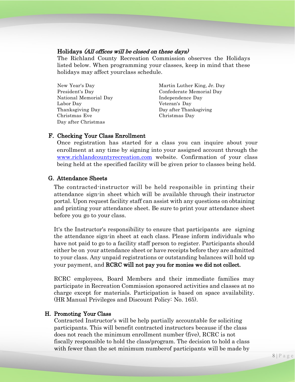### Holidays (All offices will be closed on these days)

The Richland County Recreation Commission observes the Holidays listed below. When programming your classes, keep in mind that these holidays may affect yourclass schedule.

| New Year's Day        | Martin Luther King, Jr. Day |
|-----------------------|-----------------------------|
| President's Day       | Confederate Memorial Day    |
| National Memorial Day | Independence Day            |
| Labor Day             | Veteran's Day               |
| Thanksgiving Day      | Day after Thanksgiving      |
| Christmas Eve         | Christmas Day               |
| Day after Christmas   |                             |

#### F. Checking Your Class Enrollment

Once registration has started for a class you can inquire about your enrollment at any time by signing into your assigned account through the [www.richlandcountyrecreation.com](http://www.richlandcountyrecreation.com/) website. Confirmation of your class being held at the specified facility will be given prior to classes being held.

#### G. Attendance Sheets

The contracted-instructor will be held responsible in printing their attendance sign-in sheet which will be available through their instructor portal. Upon request facility staff can assist with any questions on obtaining and printing your attendance sheet. Be sure to print your attendance sheet before you go to your class.

It's the Instructor's responsibility to ensure that participants are signing the attendance sign-in sheet at each class. Please inform individuals who have not paid to go to a facility staff person to register. Participants should either be on your attendance sheet or have receipts before they are admitted to your class. Any unpaid registrations or outstanding balances will hold up your payment, and RCRC will not pay you for monies we did not collect.

RCRC employees, Board Members and their immediate families may participate in Recreation Commission sponsored activities and classes at no charge except for materials. Participation is based on space availability. (HR Manual Privileges and Discount Policy: No. 165).

#### H. Promoting Your Class

Contracted Instructor's will be help partially accountable for soliciting participants. This will benefit contracted instructors because if the class does not reach the minimum enrollment number (five), RCRC is not fiscally responsible to hold the class/program. The decision to hold a class with fewer than the set minimum numberof participants will be made by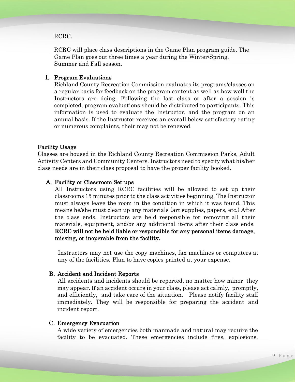#### RCRC.

RCRC will place class descriptions in the Game Plan program guide. The Game Plan goes out three times a year during the Winter/Spring, Summer and Fall season.

#### I. Program Evaluations

Richland County Recreation Commission evaluates its programs/classes on a regular basis for feedback on the program content as well as how well the Instructors are doing. Following the last class or after a session is completed, program evaluations should be distributed to participants. This information is used to evaluate the Instructor, and the program on an annual basis. If the Instructor receives an overall below satisfactory rating or numerous complaints, their may not be renewed.

#### Facility Usage

Classes are housed in the Richland County Recreation Commission Parks, Adult Activity Centers and Community Centers. Instructors need to specify what his/her class needs are in their class proposal to have the proper facility booked.

#### A. Facility or Classroom Set-ups

All Instructors using RCRC facilities will be allowed to set up their classrooms 15 minutes prior to the class activities beginning. The Instructor must always leave the room in the condition in which it was found. This means he/she must clean up any materials (art supplies, papers, etc.) After the class ends. Instructors are held responsible for removing all their materials, equipment, and/or any additional items after their class ends. RCRC will not be held liable or responsible for any personal items damage, missing, or inoperable from the facility.

Instructors may not use the copy machines, fax machines or computers at any of the facilities. Plan to have copies printed at your expense.

#### B. Accident and Incident Reports

All accidents and incidents should be reported, no matter how minor they may appear. If an accident occurs in your class, please act calmly, promptly, and efficiently, and take care of the situation. Please notify facility staff immediately. They will be responsible for preparing the accident and incident report.

#### C. Emergency Evacuation

A wide variety of emergencies both manmade and natural may require the facility to be evacuated. These emergencies include fires, explosions,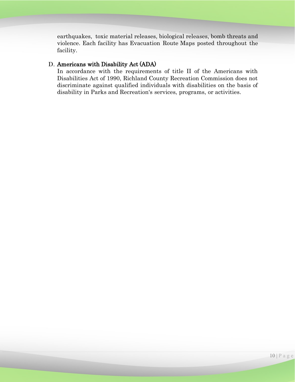earthquakes, toxic material releases, biological releases, bomb threats and violence. Each facility has Evacuation Route Maps posted throughout the facility.

# D. Americans with Disability Act (ADA)

In accordance with the requirements of title II of the Americans with Disabilities Act of 1990, Richland County Recreation Commission does not discriminate against qualified individuals with disabilities on the basis of disability in Parks and Recreation's services, programs, or activities.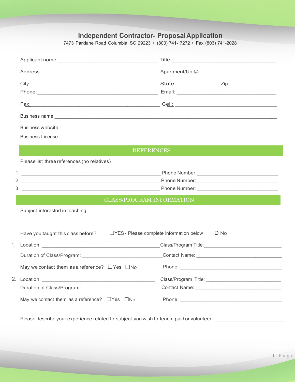# **Independent Contractor- ProposalApplication**

7473 Parklane Road Columbia, SC 29223 • (803) 741- 7272 • Fax (803) 741-2028

|                                                                                       | Applicant name: <u>Contract of Contract Contract Contract Contract Contract Contract Contract Contract Contract Contract Contract Contract Contract Contract Contract Contract Contract Contract Contract Contract Contract Cont</u> |
|---------------------------------------------------------------------------------------|--------------------------------------------------------------------------------------------------------------------------------------------------------------------------------------------------------------------------------------|
|                                                                                       |                                                                                                                                                                                                                                      |
|                                                                                       |                                                                                                                                                                                                                                      |
|                                                                                       | Phone: 2008. [2016] Phone: 2016. [2016] Phone: 2016. [2016] Phone: 2016. [2016] Phone: 2016. [2016] Phone: 2016. [2016] Phone: 2016. [2016] Phone: 2016. [2016] Phone: 2016. [2016] Phone: 2016. [2016] Phone: 2016. [2016] Ph       |
|                                                                                       |                                                                                                                                                                                                                                      |
|                                                                                       |                                                                                                                                                                                                                                      |
|                                                                                       |                                                                                                                                                                                                                                      |
|                                                                                       |                                                                                                                                                                                                                                      |
|                                                                                       | <b>REFERENCES</b>                                                                                                                                                                                                                    |
| Please list three references (no relatives)                                           |                                                                                                                                                                                                                                      |
|                                                                                       |                                                                                                                                                                                                                                      |
|                                                                                       |                                                                                                                                                                                                                                      |
|                                                                                       |                                                                                                                                                                                                                                      |
|                                                                                       | <b>CLASS/PROGRAM INFORMATION</b>                                                                                                                                                                                                     |
|                                                                                       | Subject interested in teaching: <u>Conservation and the conservation of the conservation</u> and the conservation of the conservation of the conservation of the conservation of the conservation of the conservation of the conser  |
|                                                                                       |                                                                                                                                                                                                                                      |
|                                                                                       |                                                                                                                                                                                                                                      |
| Have you taught this class before?<br><u> LYES</u> -Please complete information below | D No                                                                                                                                                                                                                                 |
|                                                                                       |                                                                                                                                                                                                                                      |
|                                                                                       |                                                                                                                                                                                                                                      |
|                                                                                       |                                                                                                                                                                                                                                      |
| May we contact them as a reference? $\Box$ Yes $\Box$ No                              |                                                                                                                                                                                                                                      |
|                                                                                       |                                                                                                                                                                                                                                      |
|                                                                                       |                                                                                                                                                                                                                                      |
| May we contact them as a reference? $\Box$ Yes $\Box$ No                              |                                                                                                                                                                                                                                      |
|                                                                                       |                                                                                                                                                                                                                                      |
|                                                                                       | Please describe your experience related to subject you wish to teach, paid or volunteer. ____________________                                                                                                                        |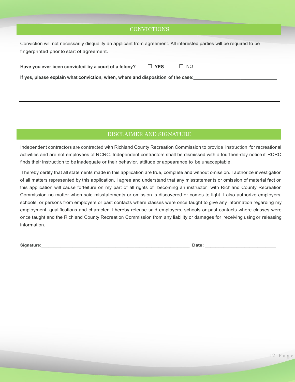# **CONVICTIONS**

|                                            | Conviction will not necessarily disqualify an applicant from agreement. All interested parties will be required to be |
|--------------------------------------------|-----------------------------------------------------------------------------------------------------------------------|
| fingerprinted prior to start of agreement. |                                                                                                                       |

| Have you ever been convicted by a court of a felony? | $\Box$ YES | $\Box$ NO |
|------------------------------------------------------|------------|-----------|
|                                                      |            |           |

**If yes, please explain what conviction, when, where and disposition of the case:\_\_\_\_\_\_\_\_\_\_\_\_\_\_\_\_**

# DISCLAIMER AND SIGNATURE

Independent contractors are contracted with Richland County Recreation Commission to provide instruction for recreational activities and are not employees of RCRC. Independent contractors shall be dismissed with a fourteen-day notice if RCRC finds their instruction to be inadequate or their behavior, attitude or appearance to be unacceptable.

I hereby certify that all statements made in this application are true, complete and without omission. I authorize investigation of all matters represented by this application. I agree and understand that any misstatements or omission of material fact on this application will cause forfeiture on my part of all rights of becoming an instructor with Richland County Recreation Commission no matter when said misstatements or omission is discovered or comes to light. I also authorize employers, schools, or persons from employers or past contacts where classes were once taught to give any information regarding my employment, qualifications and character. I hereby release said employers, schools or past contacts where classes were once taught and the Richland County Recreation Commission from any liability or damages for receiving using or releasing information.

**Signature:\_\_\_\_\_\_\_\_\_\_\_\_\_\_\_\_\_\_\_\_\_\_\_\_\_\_\_\_\_\_\_\_\_\_\_\_\_\_\_\_\_\_\_\_\_\_\_\_\_\_\_\_\_\_\_\_\_\_\_\_\_\_ Date: \_\_\_\_\_\_\_\_\_\_\_\_\_\_\_\_\_\_\_\_\_\_\_\_\_\_\_**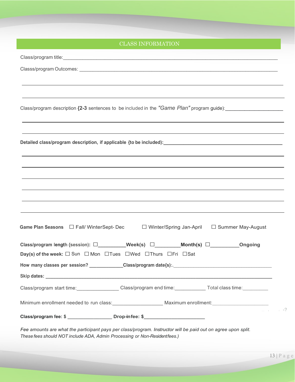# Class/program title:\_\_\_\_\_\_\_\_\_\_\_\_\_\_\_\_\_\_\_\_\_\_\_\_\_\_\_\_\_\_\_\_\_\_\_\_\_\_\_\_\_\_\_\_\_\_\_\_\_\_\_\_\_\_\_\_\_\_\_\_\_\_\_\_\_\_\_\_\_\_\_\_\_\_\_\_\_ Classs/program Outcomes: **Example 2018** Class/program description **{2-3** sentences to be included in the "Game Plan" program guide): **Detailed class/program description, if applicable {to be included):\_\_\_\_\_\_\_\_\_\_\_\_\_\_\_\_\_\_\_\_\_\_\_\_** Game Plan Seasons □ Fall/ WinterSept- Dec □ Winter/Spring Jan-April □ Summer May-August **Class/program length {session):** □**\_\_\_\_\_\_\_\_\_\_\_Week(s)** □\_\_\_\_\_\_\_\_**Month(s)** □\_\_\_\_\_\_\_\_\_**Ongoing Day(s) of the week:**  $\Box$  Sun  $\Box$  Mon  $\Box$  Tues  $\Box$  Wed  $\Box$  Thurs  $\Box$  Fri  $\Box$  Sat **How many classes per session? \_\_\_\_\_\_\_\_\_\_\_\_\_\_Class/program date{s):.**\_\_\_\_\_\_\_\_\_\_\_\_\_\_\_\_\_\_\_\_\_\_\_\_\_\_\_\_\_\_\_\_\_\_\_\_\_\_\_ **Skip dates: \_\_\_\_\_\_\_\_\_\_\_\_\_\_\_\_\_\_\_\_\_\_\_\_\_\_\_\_\_\_\_\_\_\_\_\_\_\_\_\_\_\_\_\_\_\_\_\_\_\_\_\_\_\_\_\_\_\_\_\_\_\_\_\_\_\_\_\_\_\_\_\_\_\_\_\_\_\_\_\_\_\_\_\_\_\_\_\_\_** Class/program start time: Class/program end time: Total class time: Minimum enrollment needed to run class: entitled and maximum enrollment: .... I *<sup>I</sup>*-? **Class/program fee: \$ \_\_\_\_\_\_\_\_\_\_\_\_\_\_\_\_\_ Drop-infee: \$\_\_\_\_\_\_\_\_\_\_\_\_\_\_\_\_\_\_\_\_\_\_** CLASS INFORMATION

*Fee amounts are what the participant pays per class/program. Instructor will be paid out on agree upon split. These fees should NOT include ADA, Admin Processing or Non-Residentfees.)*